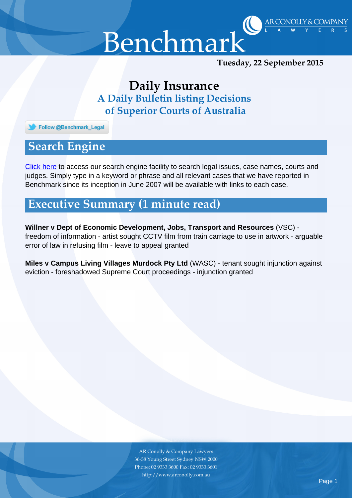

ARCONOLLY & COMPANY

## *Daily Insurance A Daily Bulletin listing Decisions of Superior Courts of Australia*

Follow @Benchmark\_Legal

## *Search Engine*

[Click here](http://benchmarkinc.com.au/archive.php) to access our search engine facility to search legal issues, case names, courts and judges. Simply type in a keyword or phrase and all relevant cases that we have reported in Benchmark since its inception in June 2007 will be available with links to each case.

## *Executive Summary (1 minute read)*

**Willner v Dept of Economic Development, Jobs, Transport and Resources** (VSC) freedom of information - artist sought CCTV film from train carriage to use in artwork - arguable error of law in refusing film - leave to appeal granted

**Miles v Campus Living Villages Murdock Pty Ltd** (WASC) - tenant sought injunction against eviction - foreshadowed Supreme Court proceedings - injunction granted

> **AR Conolly & Company Lawyers** 36-38 Young Street Sydney NSW 2000 Phone: 02 9333 3600 Fax: 02 9333 3601 http://www.arconolly.com.au